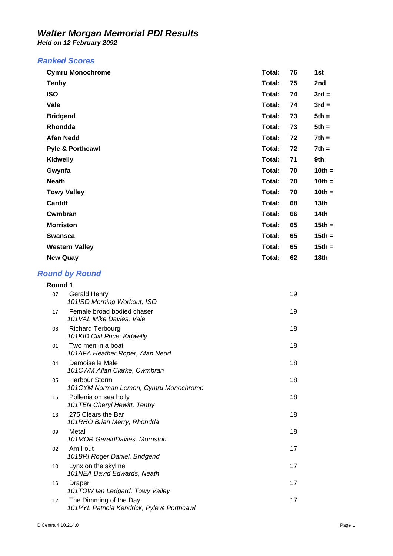*Held on 12 February 2092* 

#### *Ranked Scores*

| <b>Cymru Monochrome</b>     | Total: | 76 | 1st              |
|-----------------------------|--------|----|------------------|
| <b>Tenby</b>                | Total: | 75 | 2nd              |
| <b>ISO</b>                  | Total: | 74 | $3rd =$          |
| Vale                        | Total: | 74 | $3rd =$          |
| <b>Bridgend</b>             | Total: | 73 | $5th =$          |
| Rhondda                     | Total: | 73 | $5th =$          |
| <b>Afan Nedd</b>            | Total: | 72 | $7th =$          |
| <b>Pyle &amp; Porthcawl</b> | Total: | 72 | $7th =$          |
| <b>Kidwelly</b>             | Total: | 71 | 9th              |
| Gwynfa                      | Total: | 70 | $10th =$         |
| <b>Neath</b>                | Total: | 70 | $10th =$         |
| <b>Towy Valley</b>          | Total: | 70 | $10th =$         |
| Cardiff                     | Total: | 68 | 13th             |
| Cwmbran                     | Total: | 66 | 14th             |
| <b>Morriston</b>            | Total: | 65 | $15th =$         |
| <b>Swansea</b>              | Total: | 65 | $15th =$         |
| <b>Western Valley</b>       | Total: | 65 | $15th =$         |
| <b>New Quay</b>             | Total: | 62 | 18 <sub>th</sub> |

#### *Round by Round*

| Round 1 |                                                                      |    |
|---------|----------------------------------------------------------------------|----|
| 07      | <b>Gerald Henry</b><br>101ISO Morning Workout, ISO                   | 19 |
| 17      | Female broad bodied chaser<br>101 VAL Mike Davies, Vale              | 19 |
| 08      | <b>Richard Terbourg</b><br>101KID Cliff Price, Kidwelly              | 18 |
| 01      | Two men in a boat<br>101AFA Heather Roper, Afan Nedd                 | 18 |
| 04      | Demoiselle Male<br>101CWM Allan Clarke, Cwmbran                      | 18 |
| 05      | <b>Harbour Storm</b><br>101CYM Norman Lemon, Cymru Monochrome        | 18 |
| 15      | Pollenia on sea holly<br>101TEN Cheryl Hewitt, Tenby                 | 18 |
| 13      | 275 Clears the Bar<br>101RHO Brian Merry, Rhondda                    | 18 |
| 09      | Metal<br>101MOR GeraldDavies, Morriston                              | 18 |
| 02      | Am I out<br>101BRI Roger Daniel, Bridgend                            | 17 |
| 10      | Lynx on the skyline<br>101NEA David Edwards, Neath                   | 17 |
| 16      | Draper<br>101TOW lan Ledgard, Towy Valley                            | 17 |
| 12      | The Dimming of the Day<br>101PYL Patricia Kendrick, Pyle & Porthcawl | 17 |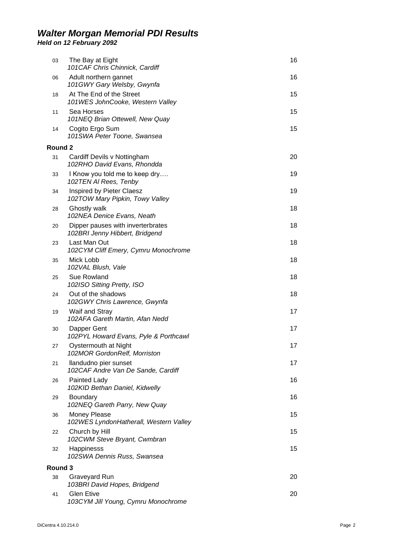*Held on 12 February 2092* 

| 03      | The Bay at Eight<br>101CAF Chris Chinnick, Cardiff                  | 16 |
|---------|---------------------------------------------------------------------|----|
| 06      | Adult northern gannet<br>101GWY Gary Welsby, Gwynfa                 | 16 |
| 18      | At The End of the Street<br>101WES JohnCooke, Western Valley        | 15 |
| 11      | Sea Horses<br>101NEQ Brian Ottewell, New Quay                       | 15 |
| 14      | Cogito Ergo Sum<br>101SWA Peter Toone, Swansea                      | 15 |
| Round 2 |                                                                     |    |
| 31      | Cardiff Devils v Nottingham<br>102RHO David Evans, Rhondda          | 20 |
| 33      | I Know you told me to keep dry<br>102TEN AI Rees, Tenby             | 19 |
| 34      | Inspired by Pieter Claesz<br>102TOW Mary Pipkin, Towy Valley        | 19 |
| 28      | Ghostly walk<br>102NEA Denice Evans, Neath                          | 18 |
| 20      | Dipper pauses with inverterbrates<br>102BRI Jenny Hibbert, Bridgend | 18 |
| 23      | Last Man Out<br>102CYM Cliff Emery, Cymru Monochrome                | 18 |
| 35      | Mick Lobb<br>102 VAL Blush, Vale                                    | 18 |
| 25      | Sue Rowland<br>102ISO Sitting Pretty, ISO                           | 18 |
| 24      | Out of the shadows<br>102GWY Chris Lawrence, Gwynfa                 | 18 |
| 19      | Waif and Stray<br>102AFA Gareth Martin, Afan Nedd                   | 17 |
| 30      | Dapper Gent<br>102PYL Howard Evans, Pyle & Porthcawl                | 17 |
| 27      | Oystermouth at Night<br>102MOR GordonRelf, Morriston                | 17 |
| 21      | llandudno pier sunset<br>102CAF Andre Van De Sande, Cardiff         | 17 |
| 26      | Painted Lady<br>102KID Bethan Daniel, Kidwelly                      | 16 |
| 29      | Boundary<br>102NEQ Gareth Parry, New Quay                           | 16 |
| 36      | Money Please<br>102WES LyndonHatherall, Western Valley              | 15 |
| 22      | Church by Hill<br>102CWM Steve Bryant, Cwmbran                      | 15 |
| 32      | Happinesss<br>102SWA Dennis Russ, Swansea                           | 15 |
| Round 3 |                                                                     |    |
| 38      | Graveyard Run<br>103BRI David Hopes, Bridgend                       | 20 |
| 41      | <b>Glen Etive</b><br>103CYM Jill Young, Cymru Monochrome            | 20 |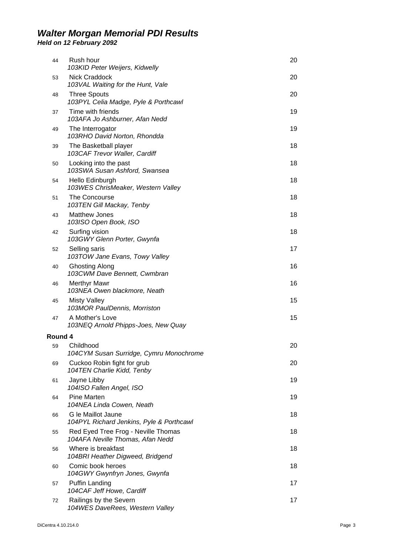*Held on 12 February 2092* 

| 44      | Rush hour<br>103KID Peter Weijers, Kidwelly                             | 20 |
|---------|-------------------------------------------------------------------------|----|
| 53      | Nick Craddock<br>103VAL Waiting for the Hunt, Vale                      | 20 |
| 48      | <b>Three Spouts</b><br>103PYL Celia Madge, Pyle & Porthcawl             | 20 |
| 37      | Time with friends<br>103AFA Jo Ashburner, Afan Nedd                     | 19 |
| 49      | The Interrogator<br>103RHO David Norton, Rhondda                        | 19 |
| 39      | The Basketball player<br>103CAF Trevor Waller, Cardiff                  | 18 |
| 50      | Looking into the past<br>103SWA Susan Ashford, Swansea                  | 18 |
| 54      | Hello Edinburgh<br>103WES ChrisMeaker, Western Valley                   | 18 |
| 51      | The Concourse<br>103TEN Gill Mackay, Tenby                              | 18 |
| 43      | <b>Matthew Jones</b><br>103ISO Open Book, ISO                           | 18 |
| 42      | Surfing vision<br>103GWY Glenn Porter, Gwynfa                           | 18 |
| 52      | Selling saris<br>103TOW Jane Evans, Towy Valley                         | 17 |
| 40      | <b>Ghosting Along</b><br>103CWM Dave Bennett, Cwmbran                   | 16 |
| 46      | <b>Merthyr Mawr</b><br>103NEA Owen blackmore, Neath                     | 16 |
| 45      | <b>Misty Valley</b><br>103MOR PaulDennis, Morriston                     | 15 |
| 47      | A Mother's Love<br>103NEQ Arnold Phipps-Joes, New Quay                  | 15 |
| Round 4 |                                                                         |    |
| 59      | Childhood<br>104CYM Susan Surridge, Cymru Monochrome                    | 20 |
| 69      | Cuckoo Robin fight for grub<br>104TEN Charlie Kidd, Tenby               | 20 |
| 61      | Jayne Libby<br>104ISO Fallen Angel, ISO                                 | 19 |
| 64      | <b>Pine Marten</b><br>104NEA Linda Cowen, Neath                         | 19 |
| 66      | G le Maillot Jaune<br>104PYL Richard Jenkins, Pyle & Porthcawl          | 18 |
| 55      | Red Eyed Tree Frog - Neville Thomas<br>104AFA Neville Thomas, Afan Nedd | 18 |
| 56      | Where is breakfast<br>104BRI Heather Digweed, Bridgend                  | 18 |
| 60      | Comic book heroes<br>104GWY Gwynfryn Jones, Gwynfa                      | 18 |
| 57      | Puffin Landing<br>104CAF Jeff Howe, Cardiff                             | 17 |
| 72      | Railings by the Severn<br>104WES DaveRees, Western Valley               | 17 |